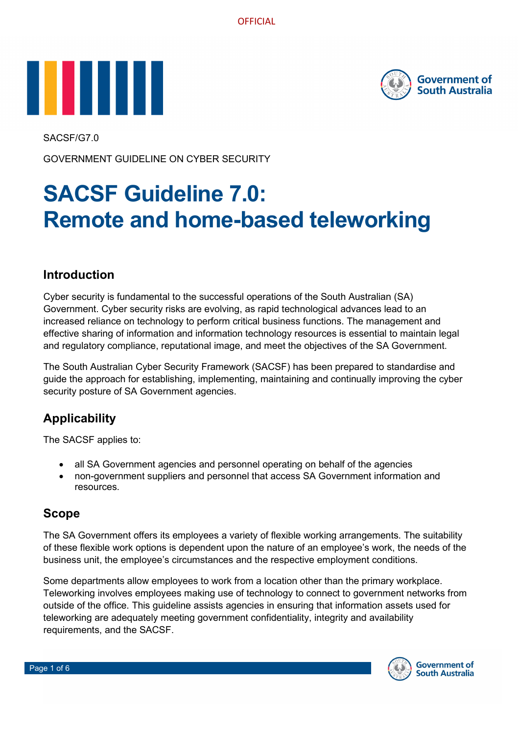



SACSF/G7.0

GOVERNMENT GUIDELINE ON CYBER SECURITY

# **SACSF Guideline 7.0: Remote and home-based teleworking**

## **Introduction**

Cyber security is fundamental to the successful operations of the South Australian (SA) Government. Cyber security risks are evolving, as rapid technological advances lead to an increased reliance on technology to perform critical business functions. The management and effective sharing of information and information technology resources is essential to maintain legal and regulatory compliance, reputational image, and meet the objectives of the SA Government.

The South Australian Cyber Security Framework (SACSF) has been prepared to standardise and guide the approach for establishing, implementing, maintaining and continually improving the cyber security posture of SA Government agencies.

# **Applicability**

The SACSF applies to:

- all SA Government agencies and personnel operating on behalf of the agencies
- non-government suppliers and personnel that access SA Government information and resources.

## **Scope**

The SA Government offers its employees a variety of flexible working arrangements. The suitability of these flexible work options is dependent upon the nature of an employee's work, the needs of the business unit, the employee's circumstances and the respective employment conditions.

Some departments allow employees to work from a location other than the primary workplace. Teleworking involves employees making use of technology to connect to government networks from outside of the office. This guideline assists agencies in ensuring that information assets used for teleworking are adequately meeting government confidentiality, integrity and availability requirements, and the SACSF.

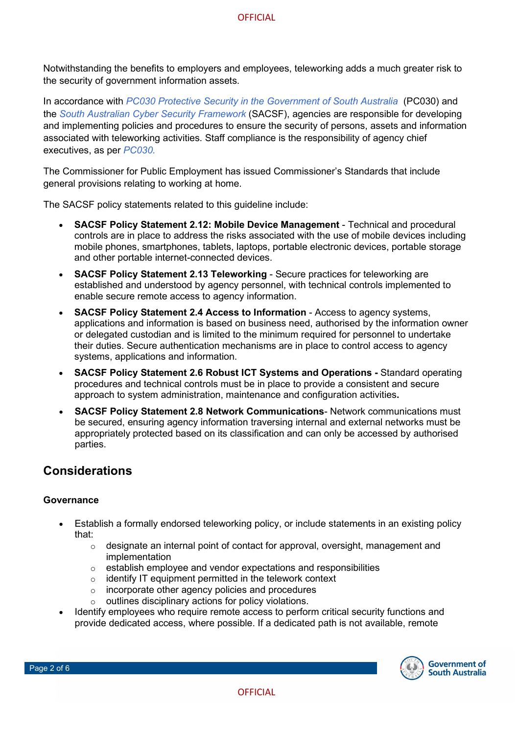Notwithstanding the benefits to employers and employees, teleworking adds a much greater risk to the security of government information assets.

In accordance with *[PC030 Protective Security in the Government of South Australia](https://www.dpc.sa.gov.au/resources-and-publications/premier-and-cabinet-circulars)* (PC030) and the *[South Australian Cyber Security Framework](https://www.dpc.sa.gov.au/responsibilities/protective-security-framework/cyber-security/the-sacsf)* (SACSF), agencies are responsible for developing and implementing policies and procedures to ensure the security of persons, assets and information associated with teleworking activities. Staff compliance is the responsibility of agency chief executives, as per *[PC030.](https://www.dpc.sa.gov.au/resources-and-publications/premier-and-cabinet-circulars)*

The Commissioner for Public Employment has issued Commissioner's Standards that include general provisions relating to working at home.

The SACSF policy statements related to this guideline include:

- **SACSF Policy Statement 2.12: Mobile Device Management**  Technical and procedural controls are in place to address the risks associated with the use of mobile devices including mobile phones, smartphones, tablets, laptops, portable electronic devices, portable storage and other portable internet-connected devices.
- **SACSF Policy Statement 2.13 Teleworking**  Secure practices for teleworking are established and understood by agency personnel, with technical controls implemented to enable secure remote access to agency information.
- **SACSF Policy Statement 2.4 Access to Information**  Access to agency systems, applications and information is based on business need, authorised by the information owner or delegated custodian and is limited to the minimum required for personnel to undertake their duties. Secure authentication mechanisms are in place to control access to agency systems, applications and information.
- **SACSF Policy Statement 2.6 Robust ICT Systems and Operations -** Standard operating procedures and technical controls must be in place to provide a consistent and secure approach to system administration, maintenance and configuration activities**.**
- **SACSF Policy Statement 2.8 Network Communications** Network communications must be secured, ensuring agency information traversing internal and external networks must be appropriately protected based on its classification and can only be accessed by authorised parties.

## **Considerations**

#### **Governance**

- Establish a formally endorsed teleworking policy, or include statements in an existing policy that:
	- $\circ$  designate an internal point of contact for approval, oversight, management and implementation
	- $\circ$  establish employee and vendor expectations and responsibilities
	- o identify IT equipment permitted in the telework context
	- o incorporate other agency policies and procedures
	- o outlines disciplinary actions for policy violations.
- Identify employees who require remote access to perform critical security functions and provide dedicated access, where possible. If a dedicated path is not available, remote

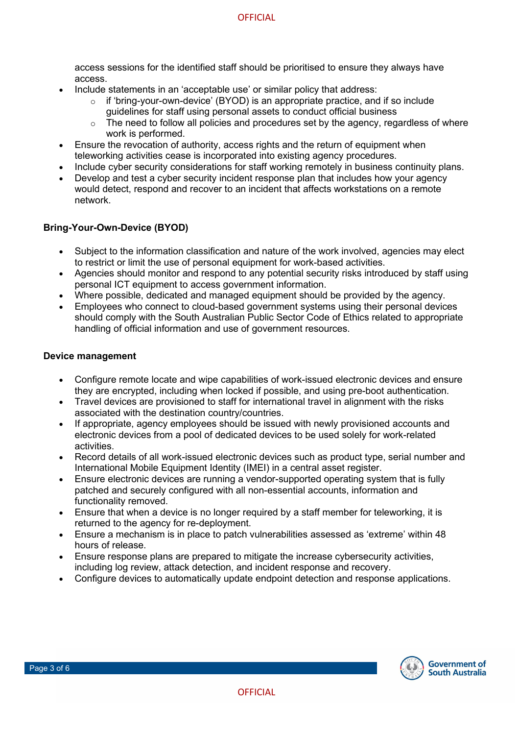access sessions for the identified staff should be prioritised to ensure they always have access.

- Include statements in an 'acceptable use' or similar policy that address:
	- $\circ$  if 'bring-your-own-device' (BYOD) is an appropriate practice, and if so include guidelines for staff using personal assets to conduct official business
	- $\circ$  The need to follow all policies and procedures set by the agency, regardless of where work is performed.
- Ensure the revocation of authority, access rights and the return of equipment when teleworking activities cease is incorporated into existing agency procedures.
- Include cyber security considerations for staff working remotely in business continuity plans.
- Develop and test a cyber security incident response plan that includes how your agency would detect, respond and recover to an incident that affects workstations on a remote network.

#### **Bring-Your-Own-Device (BYOD)**

- Subject to the information classification and nature of the work involved, agencies may elect to restrict or limit the use of personal equipment for work-based activities.
- Agencies should monitor and respond to any potential security risks introduced by staff using personal ICT equipment to access government information.
- Where possible, dedicated and managed equipment should be provided by the agency.
- Employees who connect to cloud-based government systems using their personal devices should comply with the South Australian Public Sector Code of Ethics related to appropriate handling of official information and use of government resources.

#### **Device management**

- Configure remote locate and wipe capabilities of work-issued electronic devices and ensure they are encrypted, including when locked if possible, and using pre-boot authentication.
- Travel devices are provisioned to staff for international travel in alignment with the risks associated with the destination country/countries.
- If appropriate, agency employees should be issued with newly provisioned accounts and electronic devices from a pool of dedicated devices to be used solely for work-related activities.
- Record details of all work-issued electronic devices such as product type, serial number and International Mobile Equipment Identity (IMEI) in a central asset register.
- Ensure electronic devices are running a vendor-supported operating system that is fully patched and securely configured with all non-essential accounts, information and functionality removed.
- Ensure that when a device is no longer required by a staff member for teleworking, it is returned to the agency for re-deployment.
- Ensure a mechanism is in place to patch vulnerabilities assessed as 'extreme' within 48 hours of release.
- Ensure response plans are prepared to mitigate the increase cybersecurity activities, including log review, attack detection, and incident response and recovery.
- Configure devices to automatically update endpoint detection and response applications.

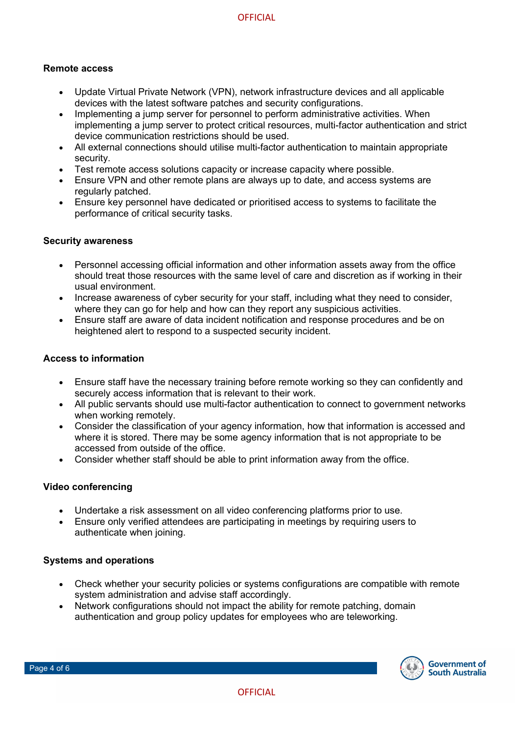#### **Remote access**

- Update Virtual Private Network (VPN), network infrastructure devices and all applicable devices with the latest software patches and security configurations.
- Implementing a jump server for personnel to perform administrative activities. When implementing a jump server to protect critical resources, multi-factor authentication and strict device communication restrictions should be used.
- All external connections should utilise multi-factor authentication to maintain appropriate security.
- Test remote access solutions capacity or increase capacity where possible.
- Ensure VPN and other remote plans are always up to date, and access systems are regularly patched.
- Ensure key personnel have dedicated or prioritised access to systems to facilitate the performance of critical security tasks.

#### **Security awareness**

- Personnel accessing official information and other information assets away from the office should treat those resources with the same level of care and discretion as if working in their usual environment.
- Increase awareness of cyber security for your staff, including what they need to consider, where they can go for help and how can they report any suspicious activities.
- Ensure staff are aware of data incident notification and response procedures and be on heightened alert to respond to a suspected security incident.

#### **Access to information**

- Ensure staff have the necessary training before remote working so they can confidently and securely access information that is relevant to their work.
- All public servants should use multi-factor authentication to connect to government networks when working remotely.
- Consider the classification of your agency information, how that information is accessed and where it is stored. There may be some agency information that is not appropriate to be accessed from outside of the office.
- Consider whether staff should be able to print information away from the office.

#### **Video conferencing**

- Undertake a risk assessment on all video conferencing platforms prior to use.
- Ensure only verified attendees are participating in meetings by requiring users to authenticate when joining.

#### **Systems and operations**

- Check whether your security policies or systems configurations are compatible with remote system administration and advise staff accordingly.
- Network configurations should not impact the ability for remote patching, domain authentication and group policy updates for employees who are teleworking.

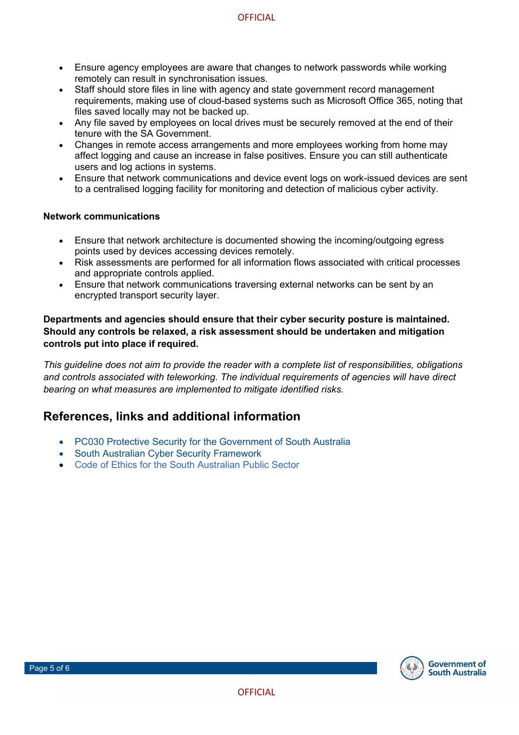- Ensure agency employees are aware that changes to network passwords while working remotely can result in synchronisation issues.
- Staff should store files in line with agency and state government record management requirements, making use of cloud-based systems such as Microsoft Office 365, noting that files saved locally may not be backed up.
- Any file saved by employees on local drives must be securely removed at the end of their tenure with the SA Government.
- Changes in remote access arrangements and more employees working from home may affect logging and cause an increase in false positives. Ensure you can still authenticate users and log actions in systems.
- Ensure that network communications and device event logs on work-issued devices are sent to a centralised logging facility for monitoring and detection of malicious cyber activity.

#### **Network communications**

- Ensure that network architecture is documented showing the incoming/outgoing egress points used by devices accessing devices remotely.
- Risk assessments are performed for all information flows associated with critical processes and appropriate controls applied.
- Ensure that network communications traversing external networks can be sent by an encrypted transport security layer.

#### **Departments and agencies should ensure that their cyber security posture is maintained. Should any controls be relaxed, a risk assessment should be undertaken and mitigation controls put into place if required.**

*This guideline does not aim to provide the reader with a complete list of responsibilities, obligations and controls associated with teleworking. The individual requirements of agencies will have direct bearing on what measures are implemented to mitigate identified risks.*

## **References, links and additional information**

- PC030 Protective Security [for the Government of South Australia](https://dpc.sa.gov.au/digital/security)
- [South Australian Cyber Security Framework](https://www.dpc.sa.gov.au/responsibilities/protective-security-framework/cyber-security)
- [Code of Ethics for the South Australian Public Sector](https://publicsector.sa.gov.au/policies-standards/code-of-ethics/)